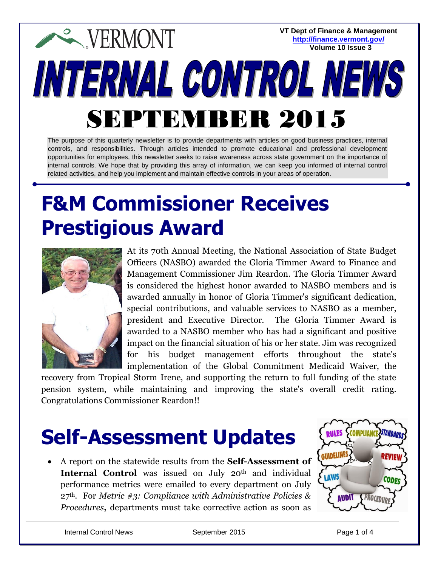**VT Dept of Finance & Management <http://finance.vermont.gov/> Volume 10 Issue 3**

# **EXPERMONT INTERNAL CONTROL NEWS** SEPTEMBER 2015

The purpose of this quarterly newsletter is to provide departments with articles on good business practices, internal controls, and responsibilities. Through articles intended to promote educational and professional development opportunities for employees, this newsletter seeks to raise awareness across state government on the importance of internal controls. We hope that by providing this array of information, we can keep you informed of internal control related activities, and help you implement and maintain effective controls in your areas of operation.

# **F&M Commissioner Receives Prestigious Award**



At its 70th Annual Meeting, the National Association of State Budget Officers (NASBO) awarded the Gloria Timmer Award to Finance and Management Commissioner Jim Reardon. The Gloria Timmer Award is considered the highest honor awarded to NASBO members and is awarded annually in honor of Gloria Timmer's significant dedication, special contributions, and valuable services to NASBO as a member, president and Executive Director. The Gloria Timmer Award is awarded to a NASBO member who has had a significant and positive impact on the financial situation of his or her state. Jim was recognized for his budget management efforts throughout the state's implementation of the Global Commitment Medicaid Waiver, the

recovery from Tropical Storm Irene, and supporting the return to full funding of the state pension system, while maintaining and improving the state's overall credit rating. Congratulations Commissioner Reardon!!

### **Self-Assessment Updates**

 A report on the statewide results from the **Self-Assessment of**  Internal Control was issued on July 20<sup>th</sup> and individual performance metrics were emailed to every department on July 27th. For *Metric #3: Compliance with Administrative Policies & Procedures***,** departments must take corrective action as soon as

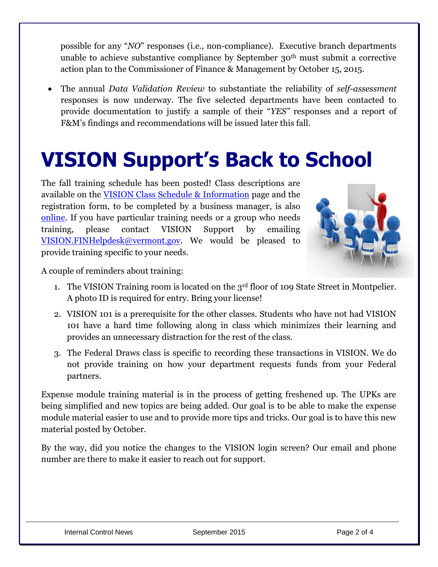possible for any "*NO*" responses (i.e., non-compliance). Executive branch departments unable to achieve substantive compliance by September 30th must submit a corrective action plan to the Commissioner of Finance & Management by October 15, 2015.

 The annual *Data Validation Review* to substantiate the reliability of *self-assessment*  responses is now underway. The five selected departments have been contacted to provide documentation to justify a sample of their "*YES"* responses and a report of F&M's findings and recommendations will be issued later this fall.

### **VISION Support's Back to School**

The fall training schedule has been posted! Class descriptions are available on the [VISION Class Schedule & Information](http://finance.vermont.gov/training_ref/VISION_Class) page and the registration form, to be completed by a business manager, is also [online.](http://finance.vermont.gov/vision_training) If you have particular training needs or a group who needs training, please contact VISION Support by emailing [VISION.FINHelpdesk@vermont.gov.](mailto:VISION.FINHelpdesk@vermont.gov) We would be pleased to provide training specific to your needs.



A couple of reminders about training:

- 1. The VISION Training room is located on the 3<sup>rd</sup> floor of 109 State Street in Montpelier. A photo ID is required for entry. Bring your license!
- 2. VISION 101 is a prerequisite for the other classes. Students who have not had VISION 101 have a hard time following along in class which minimizes their learning and provides an unnecessary distraction for the rest of the class.
- 3. The Federal Draws class is specific to recording these transactions in VISION. We do not provide training on how your department requests funds from your Federal partners.

Expense module training material is in the process of getting freshened up. The UPKs are being simplified and new topics are being added. Our goal is to be able to make the expense module material easier to use and to provide more tips and tricks. Our goal is to have this new material posted by October.

By the way, did you notice the changes to the VISION login screen? Our email and phone number are there to make it easier to reach out for support.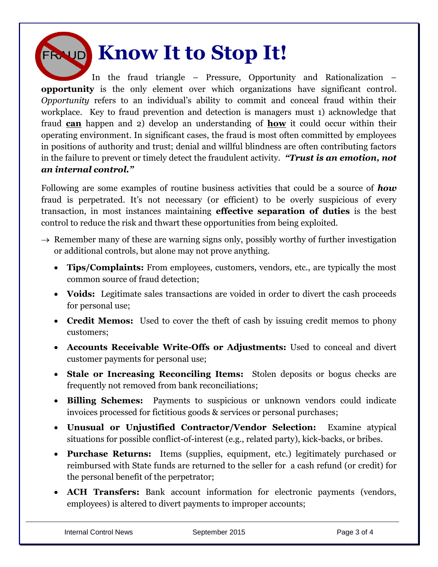

#### FRAUD Know It to Stop It!

In the fraud triangle – Pressure, Opportunity and Rationalization – **opportunity** is the only element over which organizations have significant control. *Opportunity* refers to an individual's ability to commit and conceal fraud within their workplace. Key to fraud prevention and detection is managers must 1) acknowledge that fraud **can** happen and 2) develop an understanding of **how** it could occur within their operating environment. In significant cases, the fraud is most often committed by employees in positions of authority and trust; denial and willful blindness are often contributing factors in the failure to prevent or timely detect the fraudulent activity. *"Trust is an emotion, not an internal control."*

Following are some examples of routine business activities that could be a source of *how* fraud is perpetrated. It's not necessary (or efficient) to be overly suspicious of every transaction, in most instances maintaining **effective separation of duties** is the best control to reduce the risk and thwart these opportunities from being exploited.

- $\rightarrow$  Remember many of these are warning signs only, possibly worthy of further investigation or additional controls, but alone may not prove anything.
	- **Tips/Complaints:** From employees, customers, vendors, etc., are typically the most common source of fraud detection;
	- **Voids:** Legitimate sales transactions are voided in order to divert the cash proceeds for personal use;
	- **Credit Memos:** Used to cover the theft of cash by issuing credit memos to phony customers;
	- **Accounts Receivable Write-Offs or Adjustments:** Used to conceal and divert customer payments for personal use;
	- **Stale or Increasing Reconciling Items:** Stolen deposits or bogus checks are frequently not removed from bank reconciliations;
	- **Billing Schemes:** Payments to suspicious or unknown vendors could indicate invoices processed for fictitious goods & services or personal purchases;
	- **Unusual or Unjustified Contractor/Vendor Selection:** Examine atypical situations for possible conflict-of-interest (e.g., related party), kick-backs, or bribes.
	- **Purchase Returns:** Items (supplies, equipment, etc.) legitimately purchased or reimbursed with State funds are returned to the seller for a cash refund (or credit) for the personal benefit of the perpetrator;
	- **ACH Transfers:** Bank account information for electronic payments (vendors, employees) is altered to divert payments to improper accounts;